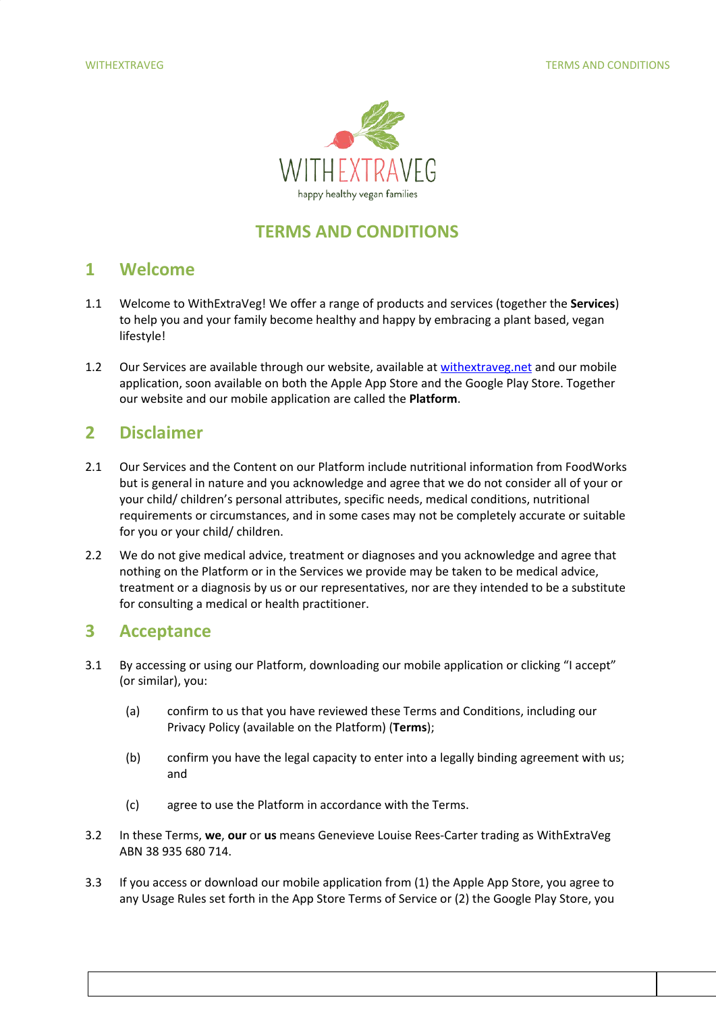

# **TERMS AND CONDITIONS**

### **1 Welcome**

- 1.1 Welcome to WithExtraVeg! We offer a range of products and services (together the **Services**) to help you and your family become healthy and happy by embracing a plant based, vegan lifestyle!
- 1.2 Our Services are available through our website, available at [withextraveg.net](https://withextraveg.net/) and our mobile application, soon available on both the Apple App Store and the Google Play Store. Together our website and our mobile application are called the **Platform**.

# **2 Disclaimer**

- 2.1 Our Services and the Content on our Platform include nutritional information from FoodWorks but is general in nature and you acknowledge and agree that we do not consider all of your or your child/ children's personal attributes, specific needs, medical conditions, nutritional requirements or circumstances, and in some cases may not be completely accurate or suitable for you or your child/ children.
- 2.2 We do not give medical advice, treatment or diagnoses and you acknowledge and agree that nothing on the Platform or in the Services we provide may be taken to be medical advice, treatment or a diagnosis by us or our representatives, nor are they intended to be a substitute for consulting a medical or health practitioner.

## **3 Acceptance**

- 3.1 By accessing or using our Platform, downloading our mobile application or clicking "I accept" (or similar), you:
	- (a) confirm to us that you have reviewed these Terms and Conditions, including our Privacy Policy (available on the Platform) (**Terms**);
	- (b) confirm you have the legal capacity to enter into a legally binding agreement with us; and
	- (c) agree to use the Platform in accordance with the Terms.
- 3.2 In these Terms, **we**, **our** or **us** means Genevieve Louise Rees-Carter trading as WithExtraVeg ABN 38 935 680 714.
- 3.3 If you access or download our mobile application from (1) the Apple App Store, you agree to any Usage Rules set forth in the App Store Terms of Service or (2) the Google Play Store, you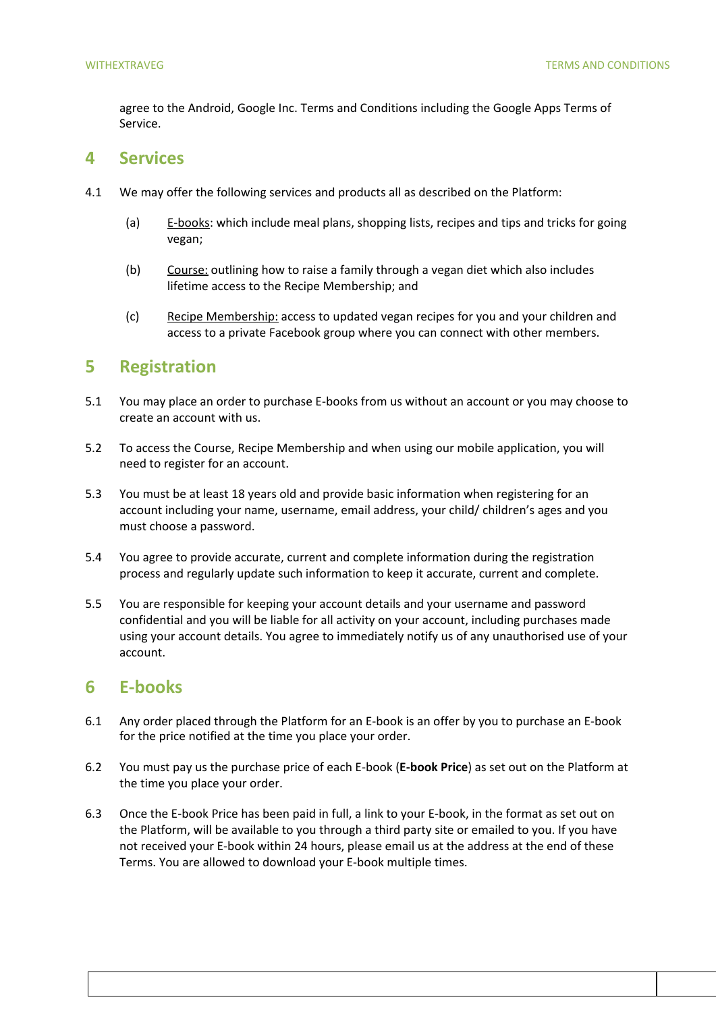agree to the Android, Google Inc. Terms and Conditions including the Google Apps Terms of Service.

### **4 Services**

- 4.1 We may offer the following services and products all as described on the Platform:
	- (a)  $E$ -books: which include meal plans, shopping lists, recipes and tips and tricks for going vegan;
	- (b) Course: outlining how to raise a family through a vegan diet which also includes lifetime access to the Recipe Membership; and
	- (c) Recipe Membership: access to updated vegan recipes for you and your children and access to a private Facebook group where you can connect with other members.

# **5 Registration**

- 5.1 You may place an order to purchase E-books from us without an account or you may choose to create an account with us.
- 5.2 To access the Course, Recipe Membership and when using our mobile application, you will need to register for an account.
- 5.3 You must be at least 18 years old and provide basic information when registering for an account including your name, username, email address, your child/ children's ages and you must choose a password.
- 5.4 You agree to provide accurate, current and complete information during the registration process and regularly update such information to keep it accurate, current and complete.
- 5.5 You are responsible for keeping your account details and your username and password confidential and you will be liable for all activity on your account, including purchases made using your account details. You agree to immediately notify us of any unauthorised use of your account.

## **6 E-books**

- 6.1 Any order placed through the Platform for an E-book is an offer by you to purchase an E-book for the price notified at the time you place your order.
- 6.2 You must pay us the purchase price of each E-book (**E-book Price**) as set out on the Platform at the time you place your order.
- 6.3 Once the E-book Price has been paid in full, a link to your E-book, in the format as set out on the Platform, will be available to you through a third party site or emailed to you. If you have not received your E-book within 24 hours, please email us at the address at the end of these Terms. You are allowed to download your E-book multiple times.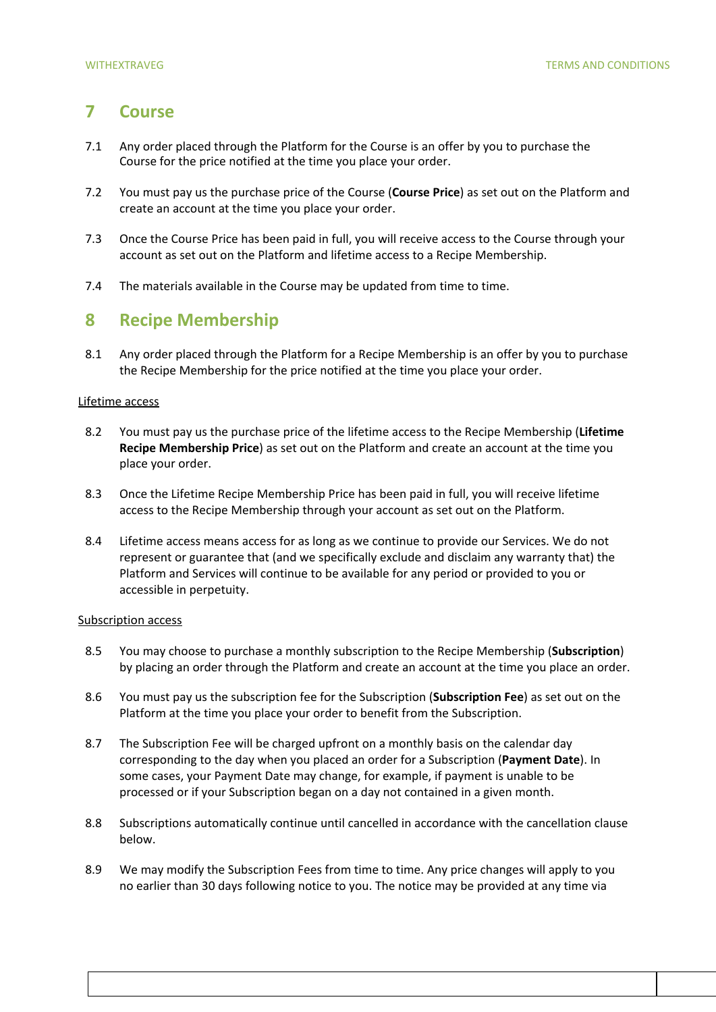## **7 Course**

- 7.1 Any order placed through the Platform for the Course is an offer by you to purchase the Course for the price notified at the time you place your order.
- 7.2 You must pay us the purchase price of the Course (**Course Price**) as set out on the Platform and create an account at the time you place your order.
- 7.3 Once the Course Price has been paid in full, you will receive access to the Course through your account as set out on the Platform and lifetime access to a Recipe Membership.
- 7.4 The materials available in the Course may be updated from time to time.

### **8 Recipe Membership**

8.1 Any order placed through the Platform for a Recipe Membership is an offer by you to purchase the Recipe Membership for the price notified at the time you place your order.

### Lifetime access

- 8.2 You must pay us the purchase price of the lifetime access to the Recipe Membership (**Lifetime Recipe Membership Price**) as set out on the Platform and create an account at the time you place your order.
- 8.3 Once the Lifetime Recipe Membership Price has been paid in full, you will receive lifetime access to the Recipe Membership through your account as set out on the Platform.
- 8.4 Lifetime access means access for as long as we continue to provide our Services. We do not represent or guarantee that (and we specifically exclude and disclaim any warranty that) the Platform and Services will continue to be available for any period or provided to you or accessible in perpetuity.

### Subscription access

- 8.5 You may choose to purchase a monthly subscription to the Recipe Membership (**Subscription**) by placing an order through the Platform and create an account at the time you place an order.
- 8.6 You must pay us the subscription fee for the Subscription (**Subscription Fee**) as set out on the Platform at the time you place your order to benefit from the Subscription.
- 8.7 The Subscription Fee will be charged upfront on a monthly basis on the calendar day corresponding to the day when you placed an order for a Subscription (**Payment Date**). In some cases, your Payment Date may change, for example, if payment is unable to be processed or if your Subscription began on a day not contained in a given month.
- 8.8 Subscriptions automatically continue until cancelled in accordance with the cancellation clause below.
- 8.9 We may modify the Subscription Fees from time to time. Any price changes will apply to you no earlier than 30 days following notice to you. The notice may be provided at any time via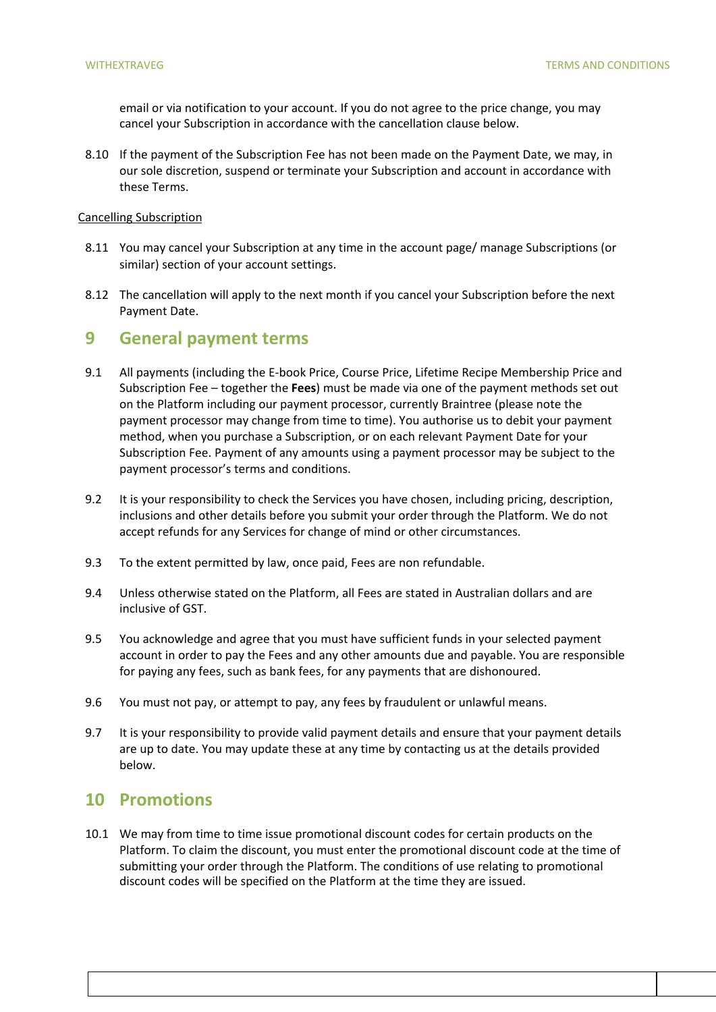email or via notification to your account. If you do not agree to the price change, you may cancel your Subscription in accordance with the cancellation clause below.

8.10 If the payment of the Subscription Fee has not been made on the Payment Date, we may, in our sole discretion, suspend or terminate your Subscription and account in accordance with these Terms.

#### Cancelling Subscription

- 8.11 You may cancel your Subscription at any time in the account page/ manage Subscriptions (or similar) section of your account settings.
- 8.12 The cancellation will apply to the next month if you cancel your Subscription before the next Payment Date.

### **9 General payment terms**

- 9.1 All payments (including the E-book Price, Course Price, Lifetime Recipe Membership Price and Subscription Fee – together the **Fees**) must be made via one of the payment methods set out on the Platform including our payment processor, currently Braintree (please note the payment processor may change from time to time). You authorise us to debit your payment method, when you purchase a Subscription, or on each relevant Payment Date for your Subscription Fee. Payment of any amounts using a payment processor may be subject to the payment processor's terms and conditions.
- 9.2 It is your responsibility to check the Services you have chosen, including pricing, description, inclusions and other details before you submit your order through the Platform. We do not accept refunds for any Services for change of mind or other circumstances.
- 9.3 To the extent permitted by law, once paid, Fees are non refundable.
- 9.4 Unless otherwise stated on the Platform, all Fees are stated in Australian dollars and are inclusive of GST.
- 9.5 You acknowledge and agree that you must have sufficient funds in your selected payment account in order to pay the Fees and any other amounts due and payable. You are responsible for paying any fees, such as bank fees, for any payments that are dishonoured.
- 9.6 You must not pay, or attempt to pay, any fees by fraudulent or unlawful means.
- 9.7 It is your responsibility to provide valid payment details and ensure that your payment details are up to date. You may update these at any time by contacting us at the details provided below.

### **10 Promotions**

10.1 We may from time to time issue promotional discount codes for certain products on the Platform. To claim the discount, you must enter the promotional discount code at the time of submitting your order through the Platform. The conditions of use relating to promotional discount codes will be specified on the Platform at the time they are issued.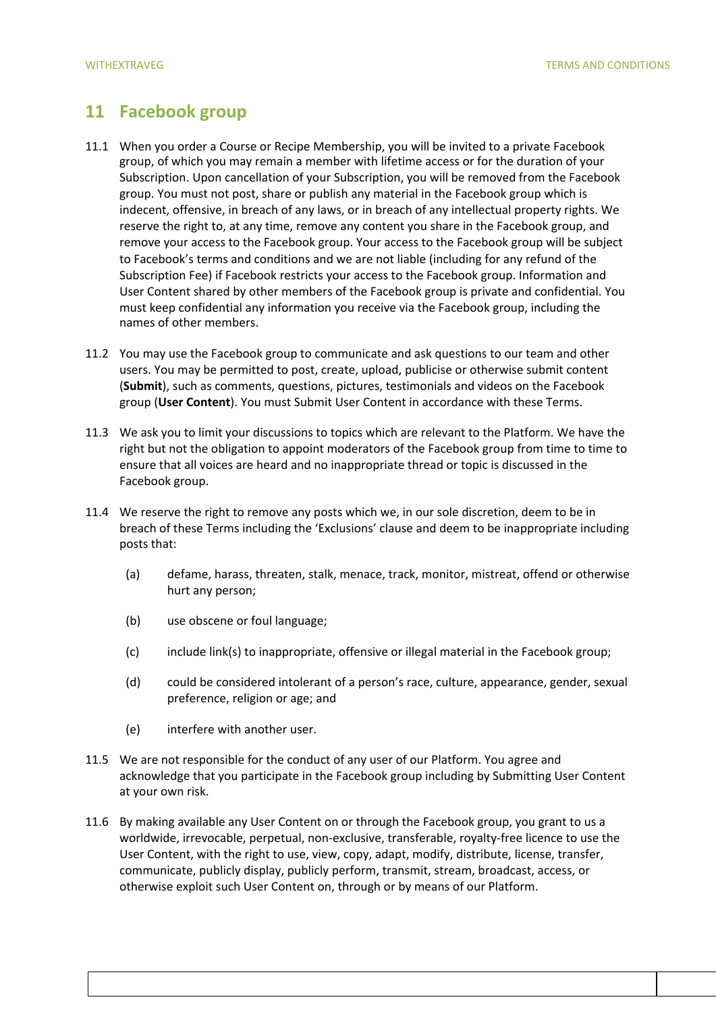# **11 Facebook group**

- 11.1 When you order a Course or Recipe Membership, you will be invited to a private Facebook group, of which you may remain a member with lifetime access or for the duration of your Subscription. Upon cancellation of your Subscription, you will be removed from the Facebook group. You must not post, share or publish any material in the Facebook group which is indecent, offensive, in breach of any laws, or in breach of any intellectual property rights. We reserve the right to, at any time, remove any content you share in the Facebook group, and remove your access to the Facebook group. Your access to the Facebook group will be subject to Facebook's terms and conditions and we are not liable (including for any refund of the Subscription Fee) if Facebook restricts your access to the Facebook group. Information and User Content shared by other members of the Facebook group is private and confidential. You must keep confidential any information you receive via the Facebook group, including the names of other members.
- 11.2 You may use the Facebook group to communicate and ask questions to our team and other users. You may be permitted to post, create, upload, publicise or otherwise submit content (**Submit**), such as comments, questions, pictures, testimonials and videos on the Facebook group (**User Content**). You must Submit User Content in accordance with these Terms.
- 11.3 We ask you to limit your discussions to topics which are relevant to the Platform. We have the right but not the obligation to appoint moderators of the Facebook group from time to time to ensure that all voices are heard and no inappropriate thread or topic is discussed in the Facebook group.
- 11.4 We reserve the right to remove any posts which we, in our sole discretion, deem to be in breach of these Terms including the 'Exclusions' clause and deem to be inappropriate including posts that:
	- (a) defame, harass, threaten, stalk, menace, track, monitor, mistreat, offend or otherwise hurt any person;
	- (b) use obscene or foul language;
	- (c) include link(s) to inappropriate, offensive or illegal material in the Facebook group;
	- (d) could be considered intolerant of a person's race, culture, appearance, gender, sexual preference, religion or age; and
	- (e) interfere with another user.
- 11.5 We are not responsible for the conduct of any user of our Platform. You agree and acknowledge that you participate in the Facebook group including by Submitting User Content at your own risk.
- 11.6 By making available any User Content on or through the Facebook group, you grant to us a worldwide, irrevocable, perpetual, non-exclusive, transferable, royalty-free licence to use the User Content, with the right to use, view, copy, adapt, modify, distribute, license, transfer, communicate, publicly display, publicly perform, transmit, stream, broadcast, access, or otherwise exploit such User Content on, through or by means of our Platform.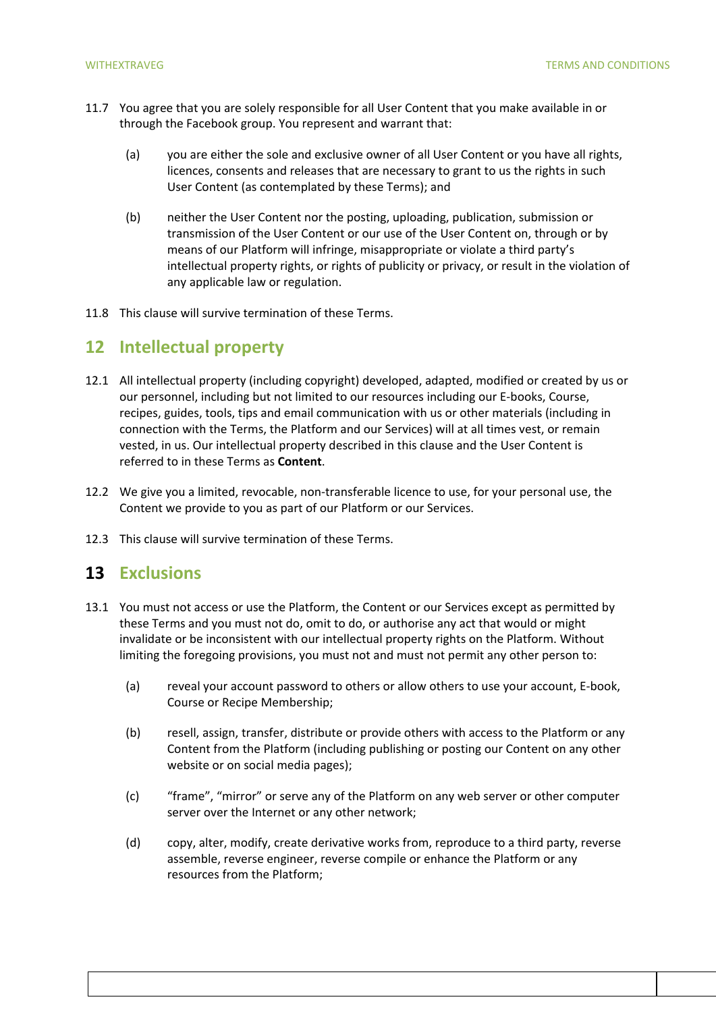- 11.7 You agree that you are solely responsible for all User Content that you make available in or through the Facebook group. You represent and warrant that:
	- (a) you are either the sole and exclusive owner of all User Content or you have all rights, licences, consents and releases that are necessary to grant to us the rights in such User Content (as contemplated by these Terms); and
	- (b) neither the User Content nor the posting, uploading, publication, submission or transmission of the User Content or our use of the User Content on, through or by means of our Platform will infringe, misappropriate or violate a third party's intellectual property rights, or rights of publicity or privacy, or result in the violation of any applicable law or regulation.
- 11.8 This clause will survive termination of these Terms.

## **12 Intellectual property**

- 12.1 All intellectual property (including copyright) developed, adapted, modified or created by us or our personnel, including but not limited to our resources including our E-books, Course, recipes, guides, tools, tips and email communication with us or other materials (including in connection with the Terms, the Platform and our Services) will at all times vest, or remain vested, in us. Our intellectual property described in this clause and the User Content is referred to in these Terms as **Content**.
- 12.2 We give you a limited, revocable, non-transferable licence to use, for your personal use, the Content we provide to you as part of our Platform or our Services.
- 12.3 This clause will survive termination of these Terms.

### **13 Exclusions**

- 13.1 You must not access or use the Platform, the Content or our Services except as permitted by these Terms and you must not do, omit to do, or authorise any act that would or might invalidate or be inconsistent with our intellectual property rights on the Platform. Without limiting the foregoing provisions, you must not and must not permit any other person to:
	- (a) reveal your account password to others or allow others to use your account, E-book, Course or Recipe Membership;
	- (b) resell, assign, transfer, distribute or provide others with access to the Platform or any Content from the Platform (including publishing or posting our Content on any other website or on social media pages);
	- (c) "frame", "mirror" or serve any of the Platform on any web server or other computer server over the Internet or any other network;
	- (d) copy, alter, modify, create derivative works from, reproduce to a third party, reverse assemble, reverse engineer, reverse compile or enhance the Platform or any resources from the Platform;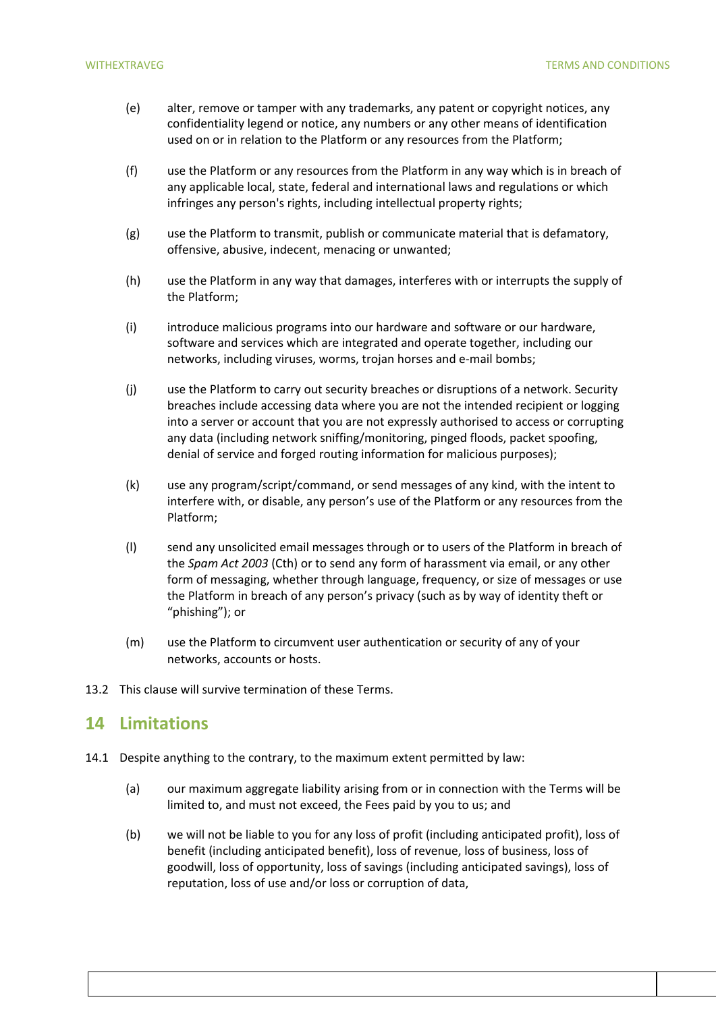- (e) alter, remove or tamper with any trademarks, any patent or copyright notices, any confidentiality legend or notice, any numbers or any other means of identification used on or in relation to the Platform or any resources from the Platform;
- (f) use the Platform or any resources from the Platform in any way which is in breach of any applicable local, state, federal and international laws and regulations or which infringes any person's rights, including intellectual property rights;
- (g) use the Platform to transmit, publish or communicate material that is defamatory, offensive, abusive, indecent, menacing or unwanted;
- (h) use the Platform in any way that damages, interferes with or interrupts the supply of the Platform;
- (i) introduce malicious programs into our hardware and software or our hardware, software and services which are integrated and operate together, including our networks, including viruses, worms, trojan horses and e-mail bombs;
- (j) use the Platform to carry out security breaches or disruptions of a network. Security breaches include accessing data where you are not the intended recipient or logging into a server or account that you are not expressly authorised to access or corrupting any data (including network sniffing/monitoring, pinged floods, packet spoofing, denial of service and forged routing information for malicious purposes);
- (k) use any program/script/command, or send messages of any kind, with the intent to interfere with, or disable, any person's use of the Platform or any resources from the Platform;
- (l) send any unsolicited email messages through or to users of the Platform in breach of the *Spam Act 2003* (Cth) or to send any form of harassment via email, or any other form of messaging, whether through language, frequency, or size of messages or use the Platform in breach of any person's privacy (such as by way of identity theft or "phishing"); or
- (m) use the Platform to circumvent user authentication or security of any of your networks, accounts or hosts.
- 13.2 This clause will survive termination of these Terms.

### **14 Limitations**

- 14.1 Despite anything to the contrary, to the maximum extent permitted by law:
	- (a) our maximum aggregate liability arising from or in connection with the Terms will be limited to, and must not exceed, the Fees paid by you to us; and
	- (b) we will not be liable to you for any loss of profit (including anticipated profit), loss of benefit (including anticipated benefit), loss of revenue, loss of business, loss of goodwill, loss of opportunity, loss of savings (including anticipated savings), loss of reputation, loss of use and/or loss or corruption of data,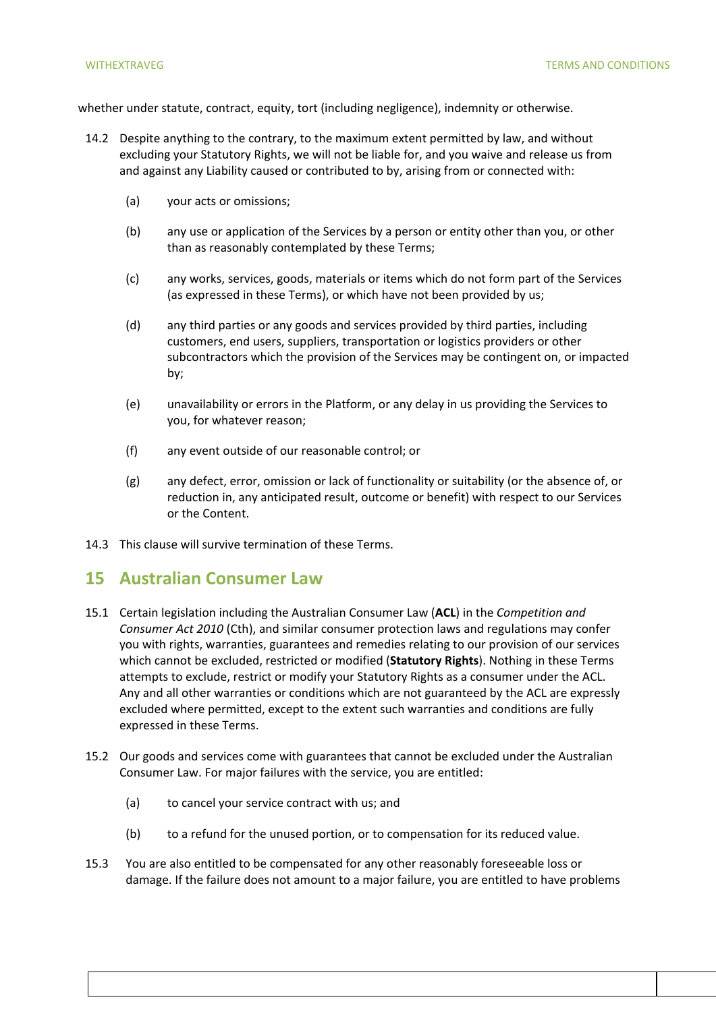whether under statute, contract, equity, tort (including negligence), indemnity or otherwise.

- 14.2 Despite anything to the contrary, to the maximum extent permitted by law, and without excluding your Statutory Rights, we will not be liable for, and you waive and release us from and against any Liability caused or contributed to by, arising from or connected with:
	- (a) your acts or omissions;
	- (b) any use or application of the Services by a person or entity other than you, or other than as reasonably contemplated by these Terms;
	- (c) any works, services, goods, materials or items which do not form part of the Services (as expressed in these Terms), or which have not been provided by us;
	- (d) any third parties or any goods and services provided by third parties, including customers, end users, suppliers, transportation or logistics providers or other subcontractors which the provision of the Services may be contingent on, or impacted by;
	- (e) unavailability or errors in the Platform, or any delay in us providing the Services to you, for whatever reason;
	- (f) any event outside of our reasonable control; or
	- (g) any defect, error, omission or lack of functionality or suitability (or the absence of, or reduction in, any anticipated result, outcome or benefit) with respect to our Services or the Content.
- 14.3 This clause will survive termination of these Terms.

### **15 Australian Consumer Law**

- 15.1 Certain legislation including the Australian Consumer Law (**ACL**) in the *Competition and Consumer Act 2010* (Cth), and similar consumer protection laws and regulations may confer you with rights, warranties, guarantees and remedies relating to our provision of our services which cannot be excluded, restricted or modified (**Statutory Rights**). Nothing in these Terms attempts to exclude, restrict or modify your Statutory Rights as a consumer under the ACL. Any and all other warranties or conditions which are not guaranteed by the ACL are expressly excluded where permitted, except to the extent such warranties and conditions are fully expressed in these Terms.
- 15.2 Our goods and services come with guarantees that cannot be excluded under the Australian Consumer Law. For major failures with the service, you are entitled:
	- (a) to cancel your service contract with us; and
	- (b) to a refund for the unused portion, or to compensation for its reduced value.
- 15.3 You are also entitled to be compensated for any other reasonably foreseeable loss or damage. If the failure does not amount to a major failure, you are entitled to have problems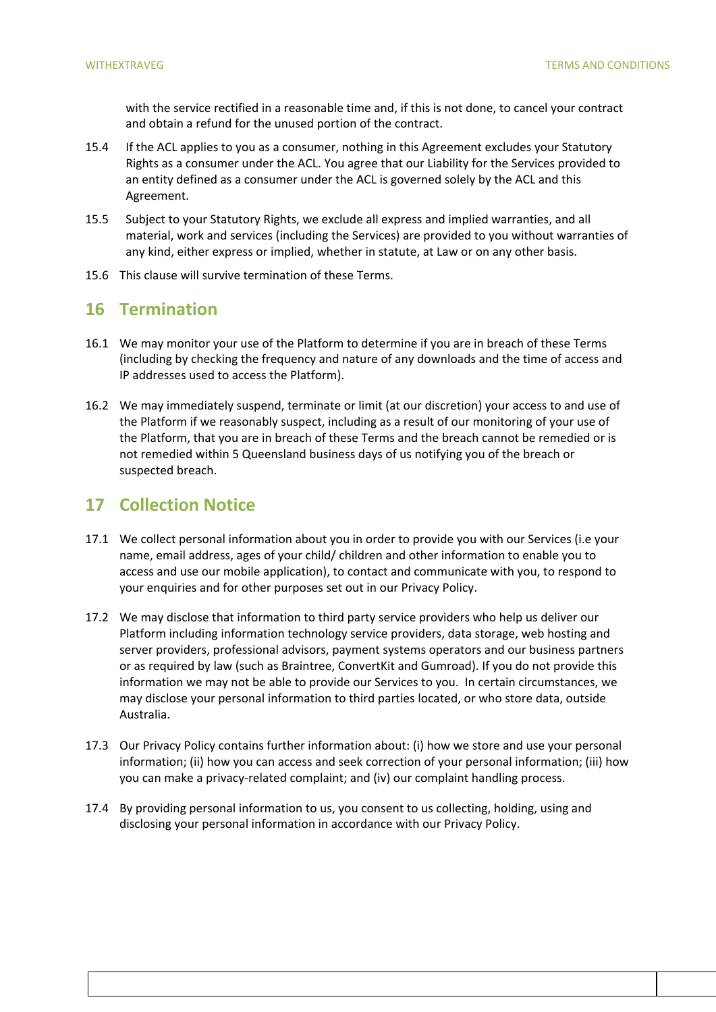with the service rectified in a reasonable time and, if this is not done, to cancel your contract and obtain a refund for the unused portion of the contract.

- 15.4 If the ACL applies to you as a consumer, nothing in this Agreement excludes your Statutory Rights as a consumer under the ACL. You agree that our Liability for the Services provided to an entity defined as a consumer under the ACL is governed solely by the ACL and this Agreement.
- 15.5 Subject to your Statutory Rights, we exclude all express and implied warranties, and all material, work and services (including the Services) are provided to you without warranties of any kind, either express or implied, whether in statute, at Law or on any other basis.
- 15.6 This clause will survive termination of these Terms.

### **16 Termination**

- 16.1 We may monitor your use of the Platform to determine if you are in breach of these Terms (including by checking the frequency and nature of any downloads and the time of access and IP addresses used to access the Platform).
- 16.2 We may immediately suspend, terminate or limit (at our discretion) your access to and use of the Platform if we reasonably suspect, including as a result of our monitoring of your use of the Platform, that you are in breach of these Terms and the breach cannot be remedied or is not remedied within 5 Queensland business days of us notifying you of the breach or suspected breach.

# **17 Collection Notice**

- 17.1 We collect personal information about you in order to provide you with our Services (i.e your name, email address, ages of your child/ children and other information to enable you to access and use our mobile application), to contact and communicate with you, to respond to your enquiries and for other purposes set out in our Privacy Policy.
- 17.2 We may disclose that information to third party service providers who help us deliver our Platform including information technology service providers, data storage, web hosting and server providers, professional advisors, payment systems operators and our business partners or as required by law (such as Braintree, ConvertKit and Gumroad). If you do not provide this information we may not be able to provide our Services to you. In certain circumstances, we may disclose your personal information to third parties located, or who store data, outside Australia.
- 17.3 Our Privacy Policy contains further information about: (i) how we store and use your personal information; (ii) how you can access and seek correction of your personal information; (iii) how you can make a privacy-related complaint; and (iv) our complaint handling process.
- 17.4 By providing personal information to us, you consent to us collecting, holding, using and disclosing your personal information in accordance with our Privacy Policy.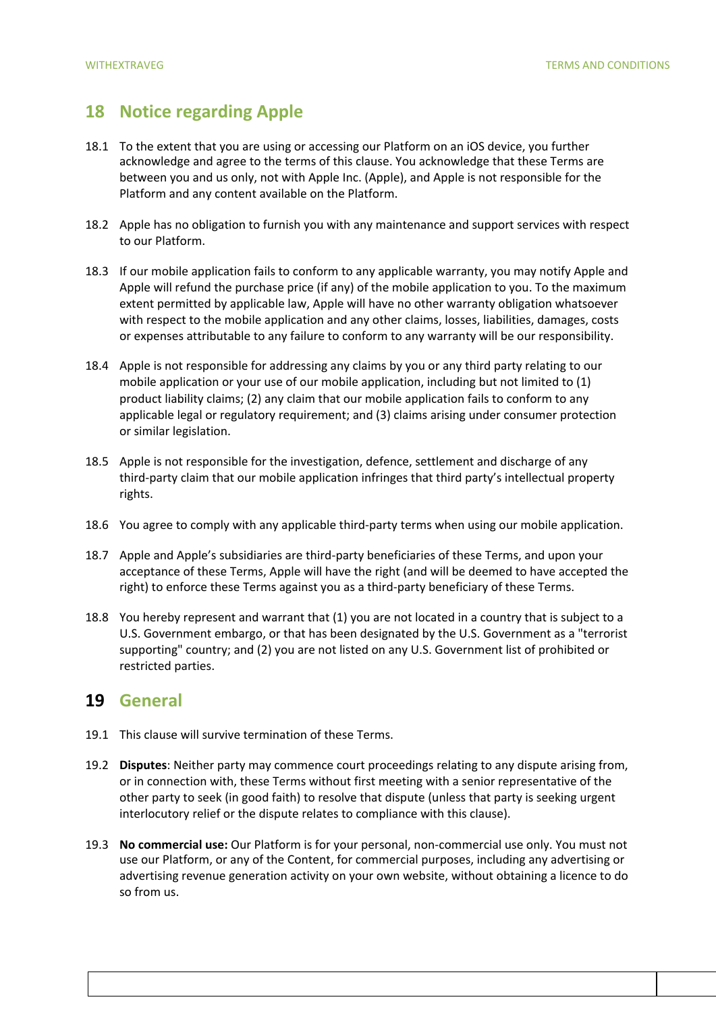# **18 Notice regarding Apple**

- 18.1 To the extent that you are using or accessing our Platform on an iOS device, you further acknowledge and agree to the terms of this clause. You acknowledge that these Terms are between you and us only, not with Apple Inc. (Apple), and Apple is not responsible for the Platform and any content available on the Platform.
- 18.2 Apple has no obligation to furnish you with any maintenance and support services with respect to our Platform.
- 18.3 If our mobile application fails to conform to any applicable warranty, you may notify Apple and Apple will refund the purchase price (if any) of the mobile application to you. To the maximum extent permitted by applicable law, Apple will have no other warranty obligation whatsoever with respect to the mobile application and any other claims, losses, liabilities, damages, costs or expenses attributable to any failure to conform to any warranty will be our responsibility.
- 18.4 Apple is not responsible for addressing any claims by you or any third party relating to our mobile application or your use of our mobile application, including but not limited to (1) product liability claims; (2) any claim that our mobile application fails to conform to any applicable legal or regulatory requirement; and (3) claims arising under consumer protection or similar legislation.
- 18.5 Apple is not responsible for the investigation, defence, settlement and discharge of any third-party claim that our mobile application infringes that third party's intellectual property rights.
- 18.6 You agree to comply with any applicable third-party terms when using our mobile application.
- 18.7 Apple and Apple's subsidiaries are third-party beneficiaries of these Terms, and upon your acceptance of these Terms, Apple will have the right (and will be deemed to have accepted the right) to enforce these Terms against you as a third-party beneficiary of these Terms.
- 18.8 You hereby represent and warrant that (1) you are not located in a country that is subject to a U.S. Government embargo, or that has been designated by the U.S. Government as a "terrorist supporting" country; and (2) you are not listed on any U.S. Government list of prohibited or restricted parties.

## **19 General**

- 19.1 This clause will survive termination of these Terms.
- 19.2 **Disputes**: Neither party may commence court proceedings relating to any dispute arising from, or in connection with, these Terms without first meeting with a senior representative of the other party to seek (in good faith) to resolve that dispute (unless that party is seeking urgent interlocutory relief or the dispute relates to compliance with this clause).
- 19.3 **No commercial use:** Our Platform is for your personal, non-commercial use only. You must not use our Platform, or any of the Content, for commercial purposes, including any advertising or advertising revenue generation activity on your own website, without obtaining a licence to do so from us.